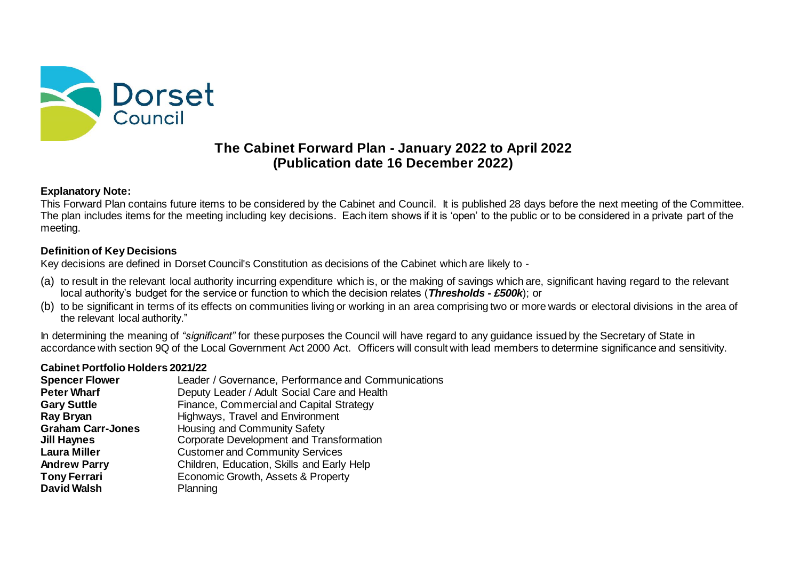

# **The Cabinet Forward Plan - January 2022 to April 2022 (Publication date 16 December 2022)**

### **Explanatory Note:**

This Forward Plan contains future items to be considered by the Cabinet and Council. It is published 28 days before the next meeting of the Committee. The plan includes items for the meeting including key decisions. Each item shows if it is 'open' to the public or to be considered in a private part of the meeting.

## **Definition of Key Decisions**

Key decisions are defined in Dorset Council's Constitution as decisions of the Cabinet which are likely to -

- (a) to result in the relevant local authority incurring expenditure which is, or the making of savings which are, significant having regard to the relevant local authority's budget for the service or function to which the decision relates (*Thresholds - £500k*); or
- (b) to be significant in terms of its effects on communities living or working in an area comprising two or more wards or electoral divisions in the area of the relevant local authority."

In determining the meaning of *"significant"* for these purposes the Council will have regard to any guidance issued by the Secretary of State in accordance with section 9Q of the Local Government Act 2000 Act. Officers will consult with lead members to determine significance and sensitivity.

#### **Cabinet Portfolio Holders 2021/22**

| Leader / Governance, Performance and Communications |
|-----------------------------------------------------|
| Deputy Leader / Adult Social Care and Health        |
| Finance, Commercial and Capital Strategy            |
| Highways, Travel and Environment                    |
| Housing and Community Safety                        |
| Corporate Development and Transformation            |
| <b>Customer and Community Services</b>              |
| Children, Education, Skills and Early Help          |
| Economic Growth, Assets & Property                  |
| Planning                                            |
|                                                     |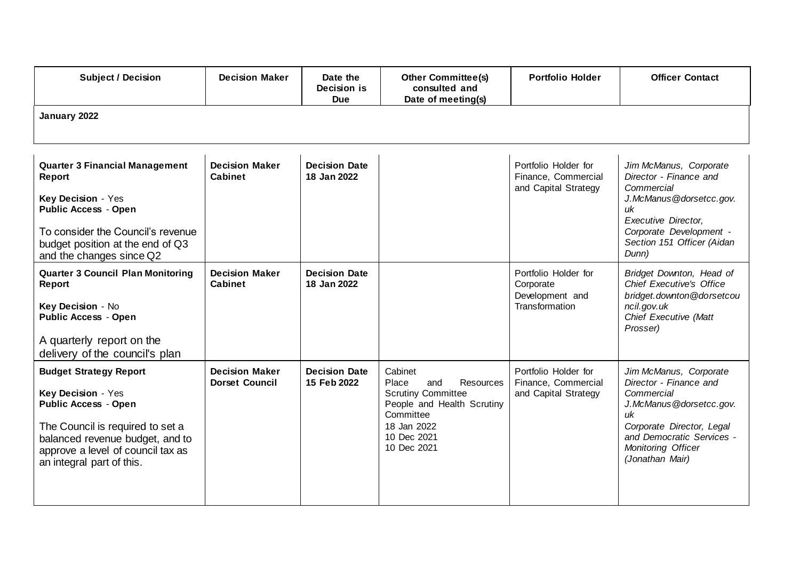| <b>Subject / Decision</b>                                                                                                                                                                                                   | <b>Decision Maker</b>                          | Date the<br>Decision is<br><b>Due</b> | <b>Other Committee(s)</b><br>consulted and<br>Date of meeting(s)                                                                                          | <b>Portfolio Holder</b>                                                | <b>Officer Contact</b>                                                                                                                                                                             |  |  |
|-----------------------------------------------------------------------------------------------------------------------------------------------------------------------------------------------------------------------------|------------------------------------------------|---------------------------------------|-----------------------------------------------------------------------------------------------------------------------------------------------------------|------------------------------------------------------------------------|----------------------------------------------------------------------------------------------------------------------------------------------------------------------------------------------------|--|--|
| January 2022                                                                                                                                                                                                                |                                                |                                       |                                                                                                                                                           |                                                                        |                                                                                                                                                                                                    |  |  |
| <b>Quarter 3 Financial Management</b><br><b>Report</b><br>Key Decision - Yes<br><b>Public Access - Open</b><br>To consider the Council's revenue<br>budget position at the end of Q3<br>and the changes since Q2            | <b>Decision Maker</b><br><b>Cabinet</b>        | <b>Decision Date</b><br>18 Jan 2022   |                                                                                                                                                           | Portfolio Holder for<br>Finance, Commercial<br>and Capital Strategy    | Jim McManus, Corporate<br>Director - Finance and<br>Commercial<br>J.McManus@dorsetcc.gov.<br>иk<br><b>Executive Director.</b><br>Corporate Development -<br>Section 151 Officer (Aidan<br>Dunn)    |  |  |
| <b>Quarter 3 Council Plan Monitoring</b><br><b>Report</b><br>Key Decision - No<br><b>Public Access - Open</b><br>A quarterly report on the<br>delivery of the council's plan                                                | <b>Decision Maker</b><br>Cabinet               | <b>Decision Date</b><br>18 Jan 2022   |                                                                                                                                                           | Portfolio Holder for<br>Corporate<br>Development and<br>Transformation | Bridget Downton, Head of<br><b>Chief Executive's Office</b><br>bridget.downton@dorsetcou<br>ncil.gov.uk<br>Chief Executive (Matt<br>Prosser)                                                       |  |  |
| <b>Budget Strategy Report</b><br>Key Decision - Yes<br><b>Public Access - Open</b><br>The Council is required to set a<br>balanced revenue budget, and to<br>approve a level of council tax as<br>an integral part of this. | <b>Decision Maker</b><br><b>Dorset Council</b> | <b>Decision Date</b><br>15 Feb 2022   | Cabinet<br>Resources<br>Place<br>and<br><b>Scrutiny Committee</b><br>People and Health Scrutiny<br>Committee<br>18 Jan 2022<br>10 Dec 2021<br>10 Dec 2021 | Portfolio Holder for<br>Finance, Commercial<br>and Capital Strategy    | Jim McManus, Corporate<br>Director - Finance and<br>Commercial<br>J.McManus@dorsetcc.gov.<br>uk<br>Corporate Director, Legal<br>and Democratic Services -<br>Monitoring Officer<br>(Jonathan Mair) |  |  |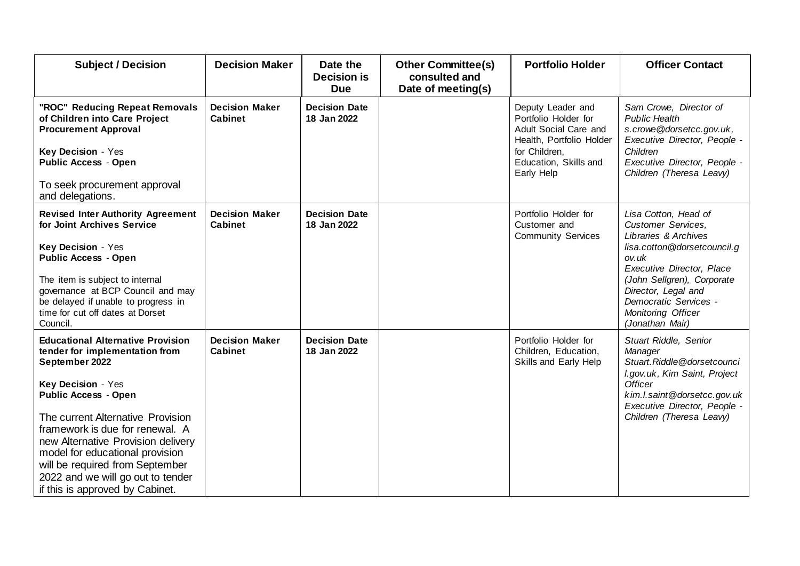| <b>Subject / Decision</b>                                                                                                                                                                                                                                                                                                                                                                                     | <b>Decision Maker</b>                   | Date the<br><b>Decision is</b><br><b>Due</b> | <b>Other Committee(s)</b><br>consulted and<br>Date of meeting(s) | <b>Portfolio Holder</b>                                                                                                                                | <b>Officer Contact</b>                                                                                                                                                                                                                                                       |
|---------------------------------------------------------------------------------------------------------------------------------------------------------------------------------------------------------------------------------------------------------------------------------------------------------------------------------------------------------------------------------------------------------------|-----------------------------------------|----------------------------------------------|------------------------------------------------------------------|--------------------------------------------------------------------------------------------------------------------------------------------------------|------------------------------------------------------------------------------------------------------------------------------------------------------------------------------------------------------------------------------------------------------------------------------|
| "ROC" Reducing Repeat Removals<br>of Children into Care Project<br><b>Procurement Approval</b><br>Key Decision - Yes<br><b>Public Access - Open</b><br>To seek procurement approval<br>and delegations.                                                                                                                                                                                                       | <b>Decision Maker</b><br><b>Cabinet</b> | <b>Decision Date</b><br>18 Jan 2022          |                                                                  | Deputy Leader and<br>Portfolio Holder for<br>Adult Social Care and<br>Health, Portfolio Holder<br>for Children,<br>Education, Skills and<br>Early Help | Sam Crowe, Director of<br><b>Public Health</b><br>s.crowe@dorsetcc.gov.uk,<br>Executive Director, People -<br>Children<br>Executive Director, People -<br>Children (Theresa Leavy)                                                                                           |
| <b>Revised Inter Authority Agreement</b><br>for Joint Archives Service<br>Key Decision - Yes<br><b>Public Access - Open</b><br>The item is subject to internal<br>governance at BCP Council and may<br>be delayed if unable to progress in<br>time for cut off dates at Dorset<br>Council.                                                                                                                    | <b>Decision Maker</b><br><b>Cabinet</b> | <b>Decision Date</b><br>18 Jan 2022          |                                                                  | Portfolio Holder for<br>Customer and<br><b>Community Services</b>                                                                                      | Lisa Cotton, Head of<br><b>Customer Services.</b><br>Libraries & Archives<br>lisa.cotton@dorsetcouncil.g<br>ov.uk<br><b>Executive Director, Place</b><br>(John Sellgren), Corporate<br>Director, Legal and<br>Democratic Services -<br>Monitoring Officer<br>(Jonathan Mair) |
| <b>Educational Alternative Provision</b><br>tender for implementation from<br>September 2022<br>Key Decision - Yes<br><b>Public Access - Open</b><br>The current Alternative Provision<br>framework is due for renewal. A<br>new Alternative Provision delivery<br>model for educational provision<br>will be required from September<br>2022 and we will go out to tender<br>if this is approved by Cabinet. | <b>Decision Maker</b><br><b>Cabinet</b> | <b>Decision Date</b><br>18 Jan 2022          |                                                                  | Portfolio Holder for<br>Children, Education,<br>Skills and Early Help                                                                                  | Stuart Riddle, Senior<br>Manager<br>Stuart.Riddle@dorsetcounci<br>I.gov.uk, Kim Saint, Project<br><b>Officer</b><br>kim.l.saint@dorsetcc.gov.uk<br>Executive Director, People -<br>Children (Theresa Leavy)                                                                  |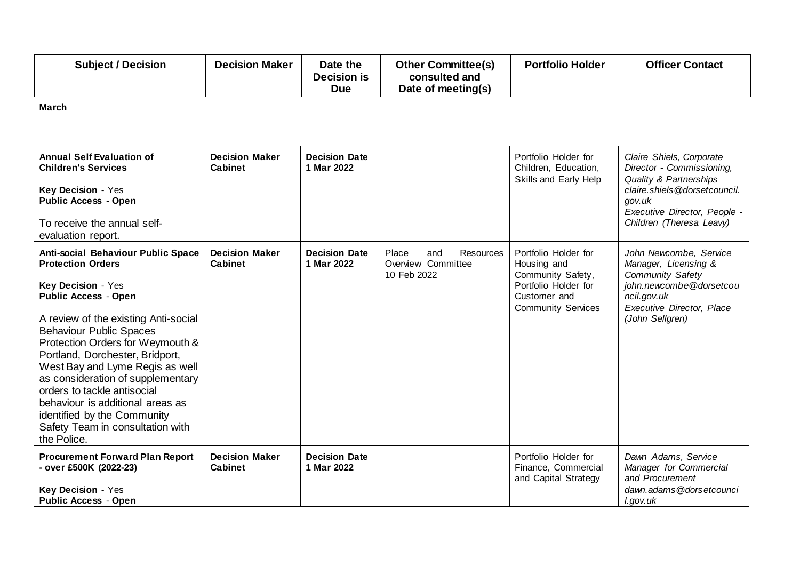| <b>Subject / Decision</b>                                                                                                                                                                                                                                                                                                                                                                                                                                                                         | <b>Decision Maker</b>                   | Date the<br><b>Decision is</b><br><b>Due</b> | <b>Other Committee(s)</b><br>consulted and<br>Date of meeting(s) | <b>Portfolio Holder</b>                                                                                                       | <b>Officer Contact</b>                                                                                                                                                                |  |  |
|---------------------------------------------------------------------------------------------------------------------------------------------------------------------------------------------------------------------------------------------------------------------------------------------------------------------------------------------------------------------------------------------------------------------------------------------------------------------------------------------------|-----------------------------------------|----------------------------------------------|------------------------------------------------------------------|-------------------------------------------------------------------------------------------------------------------------------|---------------------------------------------------------------------------------------------------------------------------------------------------------------------------------------|--|--|
| <b>March</b>                                                                                                                                                                                                                                                                                                                                                                                                                                                                                      |                                         |                                              |                                                                  |                                                                                                                               |                                                                                                                                                                                       |  |  |
| <b>Annual Self Evaluation of</b><br><b>Children's Services</b><br>Key Decision - Yes<br><b>Public Access - Open</b><br>To receive the annual self-<br>evaluation report.                                                                                                                                                                                                                                                                                                                          | <b>Decision Maker</b><br><b>Cabinet</b> | <b>Decision Date</b><br>1 Mar 2022           |                                                                  | Portfolio Holder for<br>Children, Education,<br>Skills and Early Help                                                         | Claire Shiels, Corporate<br>Director - Commissioning,<br>Quality & Partnerships<br>claire.shiels@dorsetcouncil.<br>gov.uk<br>Executive Director, People -<br>Children (Theresa Leavy) |  |  |
| Anti-social Behaviour Public Space<br><b>Protection Orders</b><br>Key Decision - Yes<br><b>Public Access - Open</b><br>A review of the existing Anti-social<br><b>Behaviour Public Spaces</b><br>Protection Orders for Weymouth &<br>Portland, Dorchester, Bridport,<br>West Bay and Lyme Regis as well<br>as consideration of supplementary<br>orders to tackle antisocial<br>behaviour is additional areas as<br>identified by the Community<br>Safety Team in consultation with<br>the Police. | <b>Decision Maker</b><br><b>Cabinet</b> | <b>Decision Date</b><br>1 Mar 2022           | Resources<br>Place<br>and<br>Overview Committee<br>10 Feb 2022   | Portfolio Holder for<br>Housing and<br>Community Safety,<br>Portfolio Holder for<br>Customer and<br><b>Community Services</b> | John Newcombe, Service<br>Manager, Licensing &<br>Community Safety<br>john.newcombe@dorsetcou<br>ncil.gov.uk<br>Executive Director, Place<br>(John Sellgren)                          |  |  |
| <b>Procurement Forward Plan Report</b><br>- over £500K (2022-23)<br>Key Decision - Yes<br><b>Public Access - Open</b>                                                                                                                                                                                                                                                                                                                                                                             | <b>Decision Maker</b><br><b>Cabinet</b> | <b>Decision Date</b><br>1 Mar 2022           |                                                                  | Portfolio Holder for<br>Finance, Commercial<br>and Capital Strategy                                                           | Dawn Adams, Service<br>Manager for Commercial<br>and Procurement<br>dawn.adams@dorsetcounci<br>l.gov.uk                                                                               |  |  |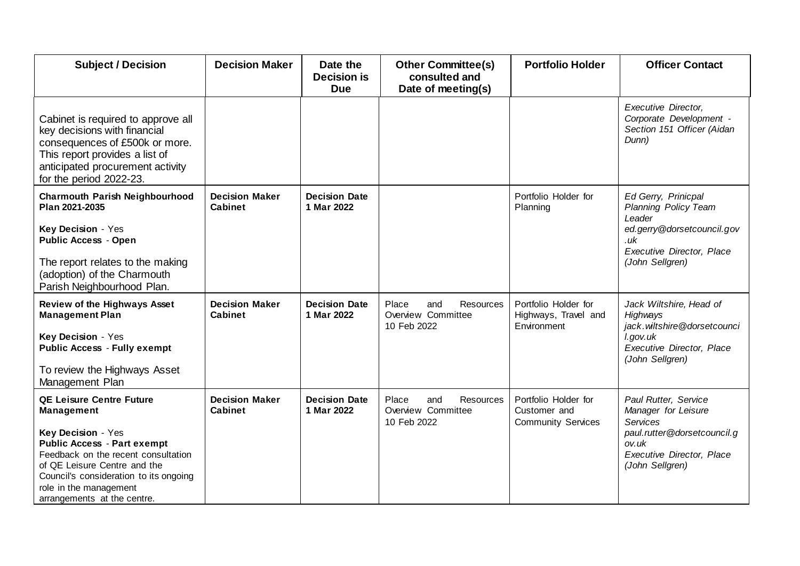| <b>Subject / Decision</b>                                                                                                                                                                                                                                                                  | <b>Decision Maker</b>                   | Date the<br><b>Decision is</b><br><b>Due</b> | <b>Other Committee(s)</b><br>consulted and<br>Date of meeting(s)      | <b>Portfolio Holder</b>                                           | <b>Officer Contact</b>                                                                                                                                 |
|--------------------------------------------------------------------------------------------------------------------------------------------------------------------------------------------------------------------------------------------------------------------------------------------|-----------------------------------------|----------------------------------------------|-----------------------------------------------------------------------|-------------------------------------------------------------------|--------------------------------------------------------------------------------------------------------------------------------------------------------|
| Cabinet is required to approve all<br>key decisions with financial<br>consequences of £500k or more.<br>This report provides a list of<br>anticipated procurement activity<br>for the period 2022-23.                                                                                      |                                         |                                              |                                                                       |                                                                   | Executive Director,<br>Corporate Development -<br>Section 151 Officer (Aidan<br>Dunn)                                                                  |
| <b>Charmouth Parish Neighbourhood</b><br>Plan 2021-2035<br>Key Decision - Yes<br><b>Public Access - Open</b><br>The report relates to the making<br>(adoption) of the Charmouth<br>Parish Neighbourhood Plan.                                                                              | <b>Decision Maker</b><br><b>Cabinet</b> | <b>Decision Date</b><br>1 Mar 2022           |                                                                       | Portfolio Holder for<br>Planning                                  | Ed Gerry, Prinicpal<br>Planning Policy Team<br>Leader<br>ed.gerry@dorsetcouncil.gov<br>.uk<br>Executive Director, Place<br>(John Sellgren)             |
| <b>Review of the Highways Asset</b><br><b>Management Plan</b><br>Key Decision - Yes<br><b>Public Access - Fully exempt</b><br>To review the Highways Asset<br>Management Plan                                                                                                              | <b>Decision Maker</b><br><b>Cabinet</b> | <b>Decision Date</b><br>1 Mar 2022           | Resources<br>Place<br>and<br>Overview Committee<br>10 Feb 2022        | Portfolio Holder for<br>Highways, Travel and<br>Environment       | Jack Wiltshire, Head of<br>Highways<br>jack.wiltshire@dorsetcounci<br>l.gov.uk<br><b>Executive Director, Place</b><br>(John Sellgren)                  |
| <b>QE Leisure Centre Future</b><br><b>Management</b><br>Key Decision - Yes<br><b>Public Access - Part exempt</b><br>Feedback on the recent consultation<br>of QE Leisure Centre and the<br>Council's consideration to its ongoing<br>role in the management<br>arrangements at the centre. | <b>Decision Maker</b><br><b>Cabinet</b> | <b>Decision Date</b><br>1 Mar 2022           | <b>Resources</b><br>Place<br>and<br>Overview Committee<br>10 Feb 2022 | Portfolio Holder for<br>Customer and<br><b>Community Services</b> | Paul Rutter, Service<br>Manager for Leisure<br><b>Services</b><br>paul.rutter@dorsetcouncil.g<br>ov.uk<br>Executive Director, Place<br>(John Sellgren) |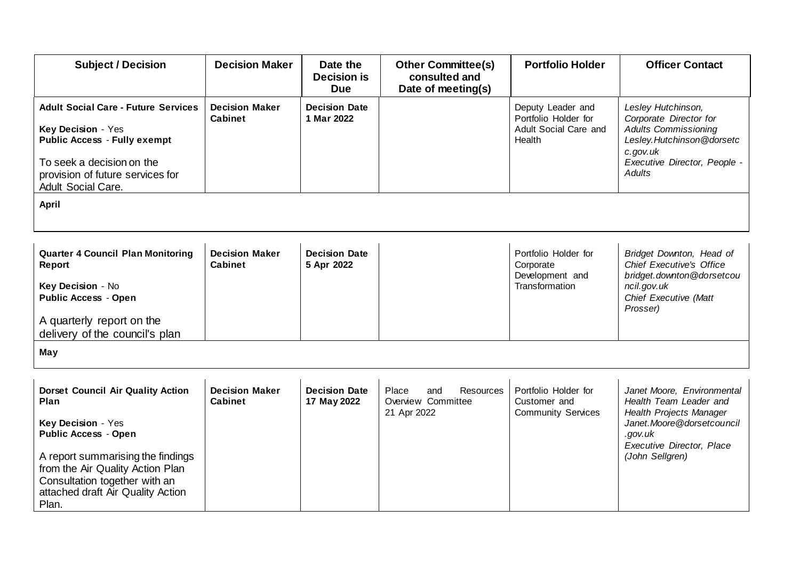| <b>Subject / Decision</b>                                                                                                                                                                                                                                     | <b>Decision Maker</b>                   | Date the<br><b>Decision is</b><br><b>Due</b> | <b>Other Committee(s)</b><br>consulted and<br>Date of meeting(s)      | <b>Portfolio Holder</b>                                                      | <b>Officer Contact</b>                                                                                                                                                    |
|---------------------------------------------------------------------------------------------------------------------------------------------------------------------------------------------------------------------------------------------------------------|-----------------------------------------|----------------------------------------------|-----------------------------------------------------------------------|------------------------------------------------------------------------------|---------------------------------------------------------------------------------------------------------------------------------------------------------------------------|
| <b>Adult Social Care - Future Services</b><br>Key Decision - Yes<br><b>Public Access - Fully exempt</b><br>To seek a decision on the<br>provision of future services for<br><b>Adult Social Care.</b>                                                         | <b>Decision Maker</b><br><b>Cabinet</b> | <b>Decision Date</b><br>1 Mar 2022           |                                                                       | Deputy Leader and<br>Portfolio Holder for<br>Adult Social Care and<br>Health | Lesley Hutchinson,<br>Corporate Director for<br><b>Adults Commissioning</b><br>Lesley.Hutchinson@dorsetc<br>c.gov.uk<br>Executive Director, People -<br>Adults            |
| <b>April</b>                                                                                                                                                                                                                                                  |                                         |                                              |                                                                       |                                                                              |                                                                                                                                                                           |
| <b>Quarter 4 Council Plan Monitoring</b><br>Report<br>Key Decision - No<br><b>Public Access - Open</b><br>A quarterly report on the<br>delivery of the council's plan                                                                                         | <b>Decision Maker</b><br><b>Cabinet</b> | <b>Decision Date</b><br>5 Apr 2022           |                                                                       | Portfolio Holder for<br>Corporate<br>Development and<br>Transformation       | Bridget Downton, Head of<br><b>Chief Executive's Office</b><br>bridget.downton@dorsetcou<br>ncil.gov.uk<br>Chief Executive (Matt<br>Prosser)                              |
| May                                                                                                                                                                                                                                                           |                                         |                                              |                                                                       |                                                                              |                                                                                                                                                                           |
| <b>Dorset Council Air Quality Action</b><br>Plan<br>Key Decision - Yes<br><b>Public Access - Open</b><br>A report summarising the findings<br>from the Air Quality Action Plan<br>Consultation together with an<br>attached draft Air Quality Action<br>Plan. | <b>Decision Maker</b><br><b>Cabinet</b> | <b>Decision Date</b><br>17 May 2022          | <b>Resources</b><br>Place<br>and<br>Overview Committee<br>21 Apr 2022 | Portfolio Holder for<br>Customer and<br><b>Community Services</b>            | Janet Moore, Environmental<br>Health Team Leader and<br>Health Projects Manager<br>Janet. Moore @dorsetcouncil<br>.gov.uk<br>Executive Director, Place<br>(John Sellgren) |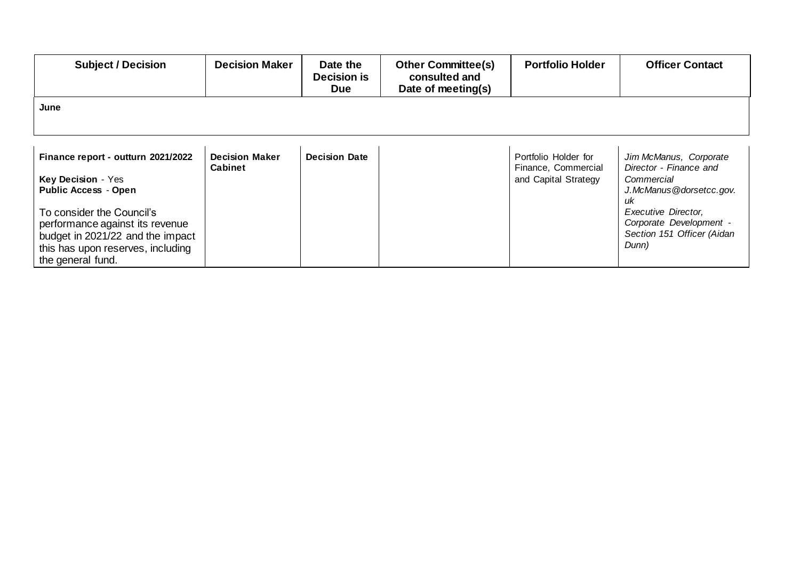| <b>Subject / Decision</b>                                                                                                                                  | <b>Decision Maker</b>                   | Date the<br><b>Decision is</b><br><b>Due</b> | <b>Other Committee(s)</b><br>consulted and<br>Date of meeting(s) | <b>Portfolio Holder</b>                                             | <b>Officer Contact</b>                                                                          |
|------------------------------------------------------------------------------------------------------------------------------------------------------------|-----------------------------------------|----------------------------------------------|------------------------------------------------------------------|---------------------------------------------------------------------|-------------------------------------------------------------------------------------------------|
| June                                                                                                                                                       |                                         |                                              |                                                                  |                                                                     |                                                                                                 |
|                                                                                                                                                            |                                         |                                              |                                                                  |                                                                     |                                                                                                 |
| Finance report - outturn 2021/2022<br>Key Decision - Yes<br><b>Public Access - Open</b>                                                                    | <b>Decision Maker</b><br><b>Cabinet</b> | <b>Decision Date</b>                         |                                                                  | Portfolio Holder for<br>Finance, Commercial<br>and Capital Strategy | Jim McManus, Corporate<br>Director - Finance and<br>Commercial<br>J.McManus@dorsetcc.gov.<br>иk |
| To consider the Council's<br>performance against its revenue<br>budget in 2021/22 and the impact<br>this has upon reserves, including<br>the general fund. |                                         |                                              |                                                                  |                                                                     | Executive Director,<br>Corporate Development -<br>Section 151 Officer (Aidan<br>Dunn)           |